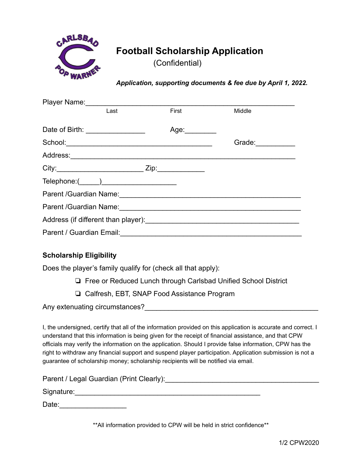

## **Football Scholarship Application**

(Confidential)

*Application, supporting documents & fee due by April 1, 2022.*

|                          | Player Name: 1990               |               |                                                                            |
|--------------------------|---------------------------------|---------------|----------------------------------------------------------------------------|
|                          | Last                            | First         | Middle                                                                     |
|                          |                                 |               |                                                                            |
|                          | Date of Birth: ________________ | Age:_________ |                                                                            |
|                          |                                 |               | Grade: $\frac{1}{\sqrt{1-\frac{1}{2}}\cdot\frac{1}{\sqrt{1-\frac{1}{2}}}}$ |
|                          |                                 |               |                                                                            |
|                          |                                 |               |                                                                            |
|                          |                                 |               |                                                                            |
|                          |                                 |               |                                                                            |
|                          |                                 |               |                                                                            |
|                          |                                 |               |                                                                            |
| Parent / Guardian Email: |                                 |               |                                                                            |

## **Scholarship Eligibility**

Does the player's family qualify for (check all that apply):

- ❏ Free or Reduced Lunch through Carlsbad Unified School District
- ❏ Calfresh, EBT, SNAP Food Assistance Program

Any extenuating circumstances?

I, the undersigned, certify that all of the information provided on this application is accurate and correct. I understand that this information is being given for the receipt of financial assistance, and that CPW officials may verify the information on the application. Should I provide false information, CPW has the right to withdraw any financial support and suspend player participation. Application submission is not a guarantee of scholarship money; scholarship recipients will be notified via email.

Parent / Legal Guardian (Print Clearly):

Signature:

Date:\_\_\_\_\_\_\_\_\_\_\_\_\_\_\_\_\_

\*\*All information provided to CPW will be held in strict confidence\*\*